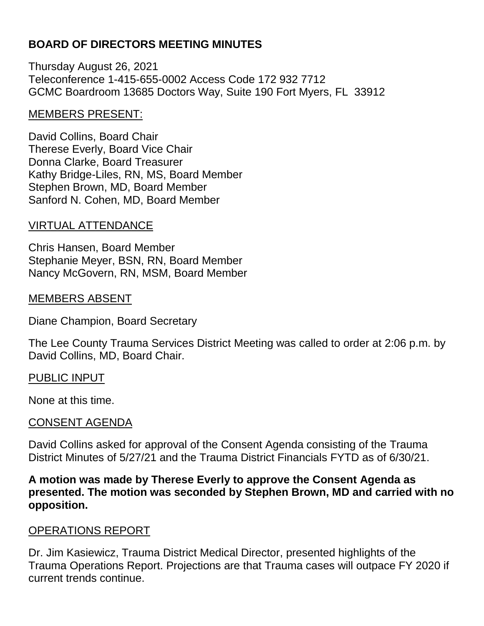# **BOARD OF DIRECTORS MEETING MINUTES**

Thursday August 26, 2021 Teleconference 1-415-655-0002 Access Code 172 932 7712 GCMC Boardroom 13685 Doctors Way, Suite 190 Fort Myers, FL 33912

### MEMBERS PRESENT:

David Collins, Board Chair Therese Everly, Board Vice Chair Donna Clarke, Board Treasurer Kathy Bridge-Liles, RN, MS, Board Member Stephen Brown, MD, Board Member Sanford N. Cohen, MD, Board Member

## VIRTUAL ATTENDANCE

Chris Hansen, Board Member Stephanie Meyer, BSN, RN, Board Member Nancy McGovern, RN, MSM, Board Member

#### MEMBERS ABSENT

Diane Champion, Board Secretary

The Lee County Trauma Services District Meeting was called to order at 2:06 p.m. by David Collins, MD, Board Chair.

#### PUBLIC INPUT

None at this time.

## CONSENT AGENDA

David Collins asked for approval of the Consent Agenda consisting of the Trauma District Minutes of 5/27/21 and the Trauma District Financials FYTD as of 6/30/21.

**A motion was made by Therese Everly to approve the Consent Agenda as presented. The motion was seconded by Stephen Brown, MD and carried with no opposition.**

#### OPERATIONS REPORT

Dr. Jim Kasiewicz, Trauma District Medical Director, presented highlights of the Trauma Operations Report. Projections are that Trauma cases will outpace FY 2020 if current trends continue.